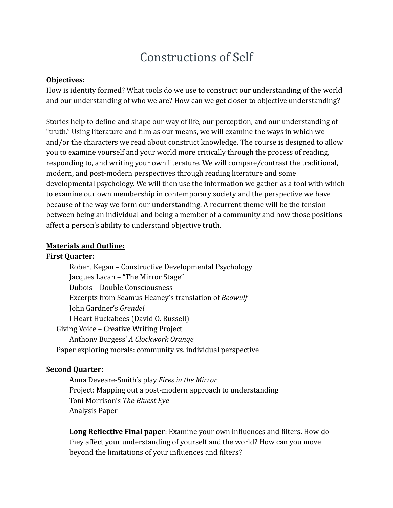# Constructions of Self

#### **Objectives:**

How is identity formed? What tools do we use to construct our understanding of the world and our understanding of who we are? How can we get closer to objective understanding?

Stories help to define and shape our way of life, our perception, and our understanding of "truth." Using literature and film as our means, we will examine the ways in which we and/or the characters we read about construct knowledge. The course is designed to allow you to examine yourself and your world more critically through the process of reading, responding to, and writing your own literature. We will compare/contrast the traditional, modern, and post-modern perspectives through reading literature and some developmental psychology. We will then use the information we gather as a tool with which to examine our own membership in contemporary society and the perspective we have because of the way we form our understanding. A recurrent theme will be the tension between being an individual and being a member of a community and how those positions affect a person's ability to understand objective truth.

#### **Materials and Outline:**

#### **First Quarter:**

Robert Kegan – Constructive Developmental Psychology Jacques Lacan – "The Mirror Stage" Dubois – Double Consciousness Excerpts from Seamus Heaney's translation of *Beowulf* John Gardner's *Grendel* I Heart Huckabees (David O. Russell) Giving Voice – Creative Writing Project Anthony Burgess' *A Clockwork Orange* Paper exploring morals: community vs. individual perspective

#### **Second Quarter:**

Anna Deveare-Smith's play *Fires in the Mirror* Project: Mapping out a post-modern approach to understanding Toni Morrison's *The Bluest Eye* Analysis Paper

**Long Reflective Final paper**: Examine your own influences and filters. How do they affect your understanding of yourself and the world? How can you move beyond the limitations of your influences and filters?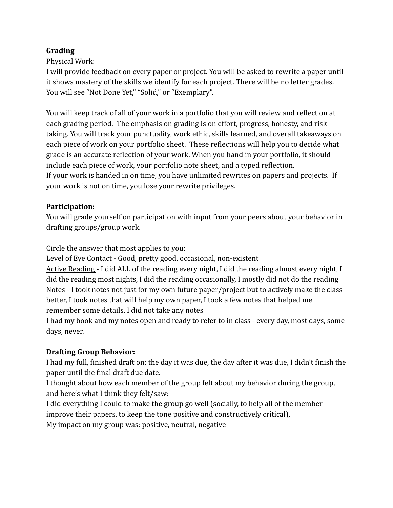## **Grading**

Physical Work:

I will provide feedback on every paper or project. You will be asked to rewrite a paper until it shows mastery of the skills we identify for each project. There will be no letter grades. You will see "Not Done Yet," "Solid," or "Exemplary".

You will keep track of all of your work in a portfolio that you will review and reflect on at each grading period. The emphasis on grading is on effort, progress, honesty, and risk taking. You will track your punctuality, work ethic, skills learned, and overall takeaways on each piece of work on your portfolio sheet. These reflections will help you to decide what grade is an accurate reflection of your work. When you hand in your portfolio, it should include each piece of work, your portfolio note sheet, and a typed reflection. If your work is handed in on time, you have unlimited rewrites on papers and projects. If your work is not on time, you lose your rewrite privileges.

## **Participation:**

You will grade yourself on participation with input from your peers about your behavior in drafting groups/group work.

Circle the answer that most applies to you:

Level of Eye Contact - Good, pretty good, occasional, non-existent

Active Reading - I did ALL of the reading every night, I did the reading almost every night, I did the reading most nights, I did the reading occasionally, I mostly did not do the reading Notes - I took notes not just for my own future paper/project but to actively make the class better, I took notes that will help my own paper, I took a few notes that helped me remember some details, I did not take any notes

I had my book and my notes open and ready to refer to in class *-* every day, most days, some days, never.

## **Drafting Group Behavior:**

I had my full, finished draft on: the day it was due, the day after it was due, I didn't finish the paper until the final draft due date.

I thought about how each member of the group felt about my behavior during the group, and here's what I think they felt/saw:

I did everything I could to make the group go well (socially, to help all of the member improve their papers, to keep the tone positive and constructively critical),

My impact on my group was: positive, neutral, negative